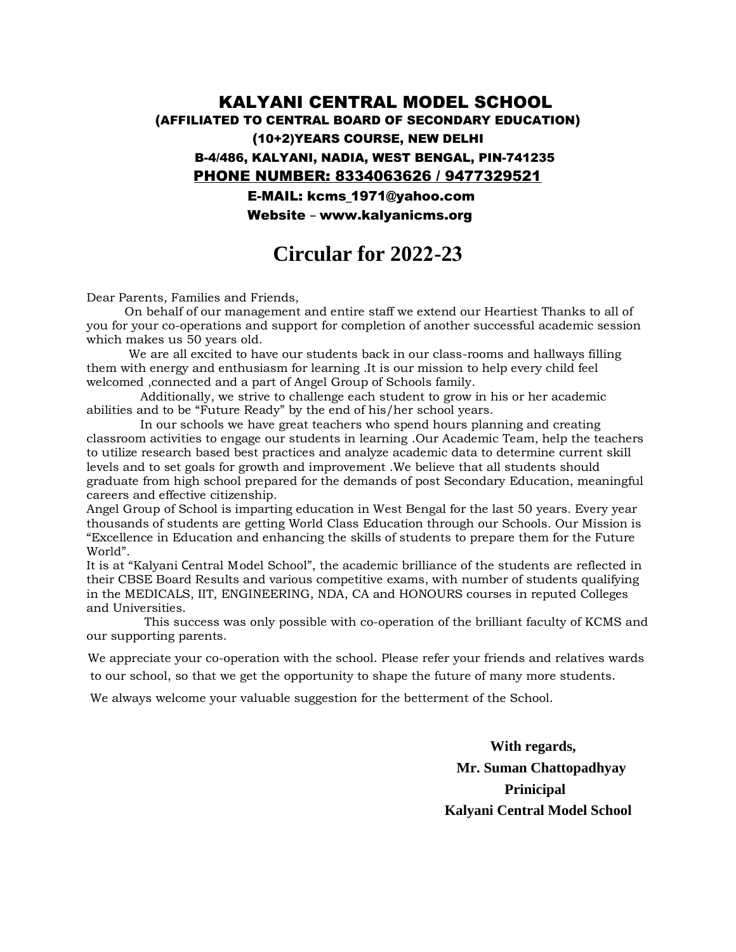## (AFFILIATED TO CENTRAL BOARD OF SECONDARY EDUCATION) (10+2)YEARS COURSE, NEW DELHI B-4/486, KALYANI, NADIA, WEST BENGAL, PIN-741235 E-MAIL: kcms\_1971@yahoo.com PHONE NUMBER: 8334063626 / 9477329521 KALYANI CENTRAL MODEL SCHOOL

Website – www.kalyanicms.org

## **Circular for 2022-23**

Dear Parents, Families and Friends,

 On behalf of our management and entire staff we extend our Heartiest Thanks to all of you for your co-operations and support for completion of another successful academic session which makes us 50 years old.

 We are all excited to have our students back in our class-rooms and hallways filling them with energy and enthusiasm for learning .It is our mission to help every child feel welcomed ,connected and a part of Angel Group of Schools family.

 Additionally, we strive to challenge each student to grow in his or her academic abilities and to be "Future Ready" by the end of his/her school years.

 In our schools we have great teachers who spend hours planning and creating classroom activities to engage our students in learning .Our Academic Team, help the teachers to utilize research based best practices and analyze academic data to determine current skill levels and to set goals for growth and improvement .We believe that all students should graduate from high school prepared for the demands of post Secondary Education, meaningful careers and effective citizenship.

Angel Group of School is imparting education in West Bengal for the last 50 years. Every year thousands of students are getting World Class Education through our Schools. Our Mission is "Excellence in Education and enhancing the skills of students to prepare them for the Future World".

their CBSE Board Results and various competitive exams, with number of students qualifying in the MEDICALS, IIT, ENGINEERING, NDA, CA and HONOURS courses in reputed Colleges and Universities. It is at "Kalyani Central Model School", the academic brilliance of the students are reflected in

our supporting parents. This success was only possible with co-operation of the brilliant faculty of KCMS and

 We appreciate your co-operation with the school. Please refer your friends and relatives wards to our school, so that we get the opportunity to shape the future of many more students.

We always welcome your valuable suggestion for the betterment of the School.

**With regards, Mr. Suman Chattopadhyay Prinicipal Kalyani Central Model School**